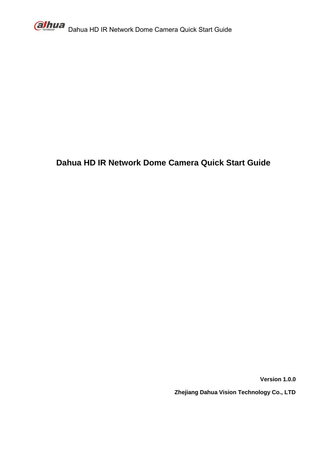

# **Dahua HD IR Network Dome Camera Quick Start Guide**

**Version 1.0.0**

**Zhejiang Dahua Vision Technology Co., LTD**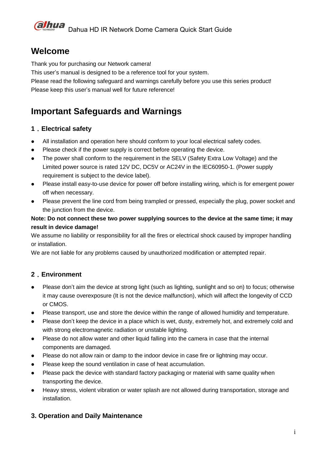## **Welcome**

Thank you for purchasing our Network camera!

This user's manual is designed to be a reference tool for your system.

Please read the following safeguard and warnings carefully before you use this series product! Please keep this user's manual well for future reference!

# **Important Safeguards and Warnings**

### **1**.**Electrical safety**

- All installation and operation here should conform to your local electrical safety codes.
- Please check if the power supply is correct before operating the device.
- The power shall conform to the requirement in the SELV (Safety Extra Low Voltage) and the Limited power source is rated 12V DC, DC5V or AC24V in the IEC60950-1. (Power supply requirement is subject to the device label).
- Please install easy-to-use device for power off before installing wiring, which is for emergent power off when necessary.
- Please prevent the line cord from being trampled or pressed, especially the plug, power socket and the junction from the device.

### **Note: Do not connect these two power supplying sources to the device at the same time; it may result in device damage!**

We assume no liability or responsibility for all the fires or electrical shock caused by improper handling or installation.

We are not liable for any problems caused by unauthorized modification or attempted repair.

## **2**.**Environment**

- Please don't aim the device at strong light (such as lighting, sunlight and so on) to focus; otherwise it may cause overexposure (It is not the device malfunction), which will affect the longevity of CCD or CMOS.
- Please transport, use and store the device within the range of allowed humidity and temperature.
- Please don't keep the device in a place which is wet, dusty, extremely hot, and extremely cold and with strong electromagnetic radiation or unstable lighting.
- Please do not allow water and other liquid falling into the camera in case that the internal components are damaged.
- Please do not allow rain or damp to the indoor device in case fire or lightning may occur.
- Please keep the sound ventilation in case of heat accumulation.
- Please pack the device with standard factory packaging or material with same quality when transporting the device.
- Heavy stress, violent vibration or water splash are not allowed during transportation, storage and installation.

### **3. Operation and Daily Maintenance**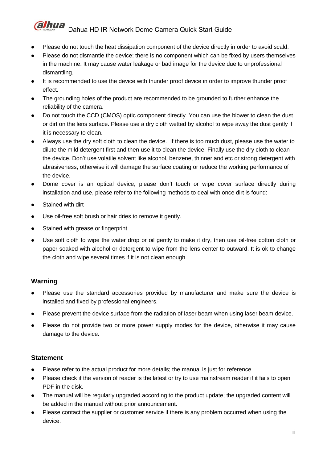#### **alhua** Dahua HD IR Network Dome Camera Quick Start Guide

- Please do not touch the heat dissipation component of the device directly in order to avoid scald.
- Please do not dismantle the device; there is no component which can be fixed by users themselves in the machine. It may cause water leakage or bad image for the device due to unprofessional dismantling.
- It is recommended to use the device with thunder proof device in order to improve thunder proof effect.
- The grounding holes of the product are recommended to be grounded to further enhance the reliability of the camera.
- Do not touch the CCD (CMOS) optic component directly. You can use the blower to clean the dust or dirt on the lens surface. Please use a dry cloth wetted by alcohol to wipe away the dust gently if it is necessary to clean.
- Always use the dry soft cloth to clean the device. If there is too much dust, please use the water to dilute the mild detergent first and then use it to clean the device. Finally use the dry cloth to clean the device. Don't use volatile solvent like alcohol, benzene, thinner and etc or strong detergent with abrasiveness, otherwise it will damage the surface coating or reduce the working performance of the device.
- Dome cover is an optical device, please don't touch or wipe cover surface directly during installation and use, please refer to the following methods to deal with once dirt is found:
- Stained with dirt
- Use oil-free soft brush or hair dries to remove it gently.
- Stained with grease or fingerprint
- Use soft cloth to wipe the water drop or oil gently to make it dry, then use oil-free cotton cloth or paper soaked with alcohol or detergent to wipe from the lens center to outward. It is ok to change the cloth and wipe several times if it is not clean enough.

### **Warning**

- Please use the standard accessories provided by manufacturer and make sure the device is installed and fixed by professional engineers.
- Please prevent the device surface from the radiation of laser beam when using laser beam device.
- Please do not provide two or more power supply modes for the device, otherwise it may cause damage to the device.

### **Statement**

- Please refer to the actual product for more details; the manual is just for reference.
- Please check if the version of reader is the latest or try to use mainstream reader if it fails to open PDF in the disk.
- The manual will be regularly upgraded according to the product update; the upgraded content will be added in the manual without prior announcement.
- Please contact the supplier or customer service if there is any problem occurred when using the device.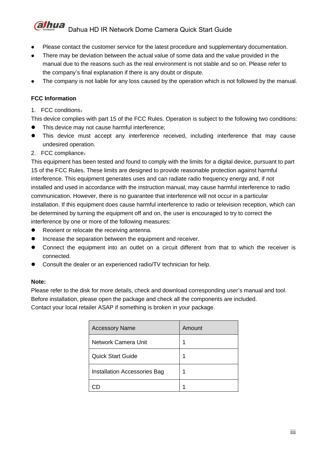#### **alhua** Dahua HD IR Network Dome Camera Quick Start Guide

- Please contact the customer service for the latest procedure and supplementary documentation.
- There may be deviation between the actual value of some data and the value provided in the manual due to the reasons such as the real environment is not stable and so on. Please refer to the company's final explanation if there is any doubt or dispute.
- The company is not liable for any loss caused by the operation which is not followed by the manual.

#### **FCC Information**

1. FCC conditions:

This device complies with part 15 of the FCC Rules. Operation is subject to the following two conditions:

- This device may not cause harmful interference;
- This device must accept any interference received, including interference that may cause undesired operation.
- 2. FCC compliance:

This equipment has been tested and found to comply with the limits for a digital device, pursuant to part 15 of the FCC Rules. These limits are designed to provide reasonable protection against harmful interference. This equipment generates uses and can radiate radio frequency energy and, if not installed and used in accordance with the instruction manual, may cause harmful interference to radio communication. However, there is no guarantee that interference will not occur in a particular installation. If this equipment does cause harmful interference to radio or television reception, which can be determined by turning the equipment off and on, the user is encouraged to try to correct the interference by one or more of the following measures:

- Reorient or relocate the receiving antenna.
- Increase the separation between the equipment and receiver.
- Connect the equipment into an outlet on a circuit different from that to which the receiver is connected.
- Consult the dealer or an experienced radio/TV technician for help.

#### **Note:**

Please refer to the disk for more details, check and download corresponding user's manual and tool. Before installation, please open the package and check all the components are included. Contact your local retailer ASAP if something is broken in your package.

| <b>Accessory Name</b>        | Amount |
|------------------------------|--------|
| Network Camera Unit          | 1      |
| <b>Quick Start Guide</b>     |        |
| Installation Accessories Bag |        |
|                              |        |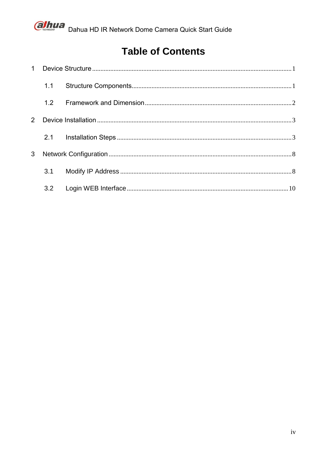

# **Table of Contents**

|                | 1.1 |  |
|----------------|-----|--|
|                | 1.2 |  |
| $\overline{2}$ |     |  |
|                | 2.1 |  |
| 3              |     |  |
|                | 3.1 |  |
|                | 3.2 |  |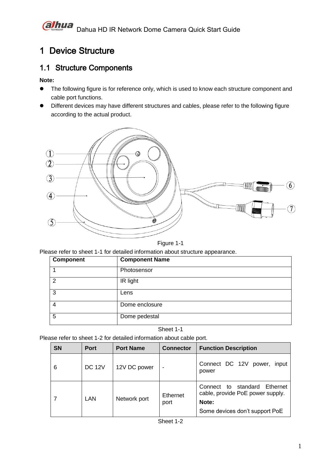# <span id="page-5-0"></span>1 Device Structure

## <span id="page-5-1"></span>1.1 Structure Components

#### **Note:**

- The following figure is for reference only, which is used to know each structure component and cable port functions.
- Different devices may have different structures and cables, please refer to the following figure according to the actual product.



Figure 1-1

Please refer to sheet 1-1 for detailed information about structure appearance.

| <b>Component</b> | <b>Component Name</b> |
|------------------|-----------------------|
|                  | Photosensor           |
| 2                | IR light              |
| 3                | Lens                  |
| $\overline{4}$   | Dome enclosure        |
| 5                | Dome pedestal         |

Sheet 1-1

Please refer to sheet 1-2 for detailed information about cable port.

| <b>SN</b> | <b>Port</b>   | <b>Port Name</b> | <b>Connector</b> | <b>Function Description</b>                                                                                 |  |  |  |
|-----------|---------------|------------------|------------------|-------------------------------------------------------------------------------------------------------------|--|--|--|
| 6         | <b>DC 12V</b> | 12V DC power     | $\blacksquare$   | Connect DC 12V power,<br>input<br>power                                                                     |  |  |  |
|           | LAN           | Network port     | Ethernet<br>port | Connect to standard Ethernet<br>cable, provide PoE power supply.<br>Note:<br>Some devices don't support PoE |  |  |  |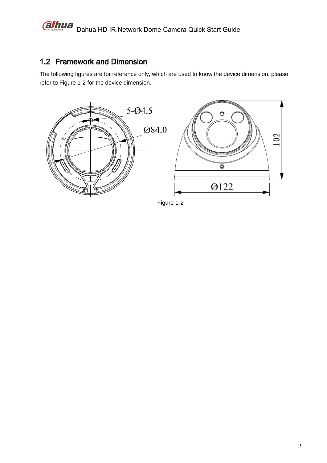#### ahua Dahua HD IR Network Dome Camera Quick Start Guide

## <span id="page-6-0"></span>1.2 Framework and Dimension

The following figures are for reference only, which are used to know the device dimension, please refer to Figure 1-2 for the device dimension.



Figure 1-2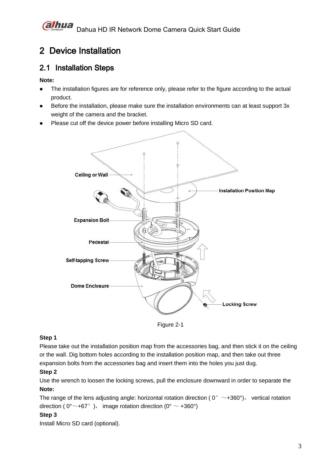# <span id="page-7-0"></span>2 Device Installation

## <span id="page-7-1"></span>2.1 Installation Steps

#### **Note:**

- The installation figures are for reference only, please refer to the figure according to the actual product.
- Before the installation, please make sure the installation environments can at least support 3x weight of the camera and the bracket.
- Please cut off the device power before installing Micro SD card.



Figure 2-1

### **Step 1**

Please take out the installation position map from the accessories bag, and then stick it on the ceiling or the wall. Dig bottom holes according to the installation position map, and then take out three expansion bolts from the accessories bag and insert them into the holes you just dug.

### **Step 2**

Use the wrench to loosen the locking screws, pull the enclosure downward in order to separate the **Note:** 

The range of the lens adjusting angle: horizontal rotation direction ( $0^{\circ} \sim +360^{\circ}$ ), vertical rotation direction (  $0^{\circ}$  ~ +67°), image rotation direction ( $0^{\circ}$  ~ +360°)

#### **Step 3**

Install Micro SD card (optional).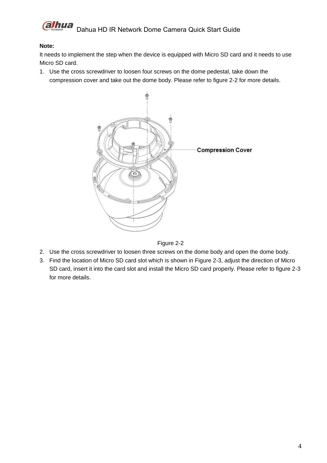

#### **Note:**

It needs to implement the step when the device is equipped with Micro SD card and it needs to use Micro SD card.

1. Use the cross screwdriver to loosen four screws on the dome pedestal, take down the compression cover and take out the dome body. Please refer to figure 2-2 for more details.



Figure 2-2

- 2. Use the cross screwdriver to loosen three screws on the dome body and open the dome body.
- 3. Find the location of Micro SD card slot which is shown in Figure 2-3, adjust the direction of Micro SD card, insert it into the card slot and install the Micro SD card properly. Please refer to figure 2-3 for more details.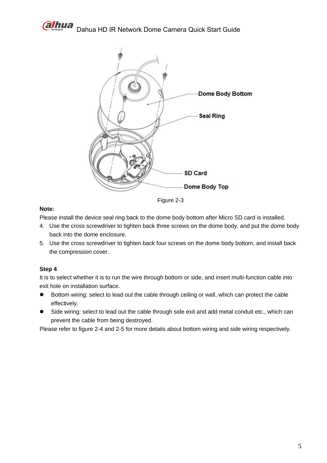



Figure 2-3

#### **Note:**

Please install the device seal ring back to the dome body bottom after Micro SD card is installed.

- 4. Use the cross screwdriver to tighten back three screws on the dome body, and put the dome body back into the dome enclosure.
- 5. Use the cross screwdriver to tighten back four screws on the dome body bottom, and install back the compression cover.

#### **Step 4**

It is to select whether it is to run the wire through bottom or side, and insert multi-function cable into exit hole on installation surface.

- Bottom wiring: select to lead out the cable through ceiling or wall, which can protect the cable effectively.
- Side wiring: select to lead out the cable through side exit and add metal conduit etc., which can prevent the cable from being destroyed.

Please refer to figure 2-4 and 2-5 for more details about bottom wiring and side wiring respectively.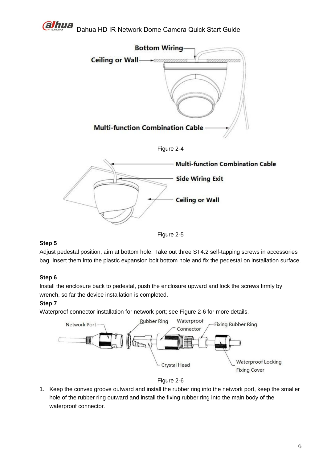

Dahua HD IR Network Dome Camera Quick Start Guide









#### **Step 5**

Adjust pedestal position, aim at bottom hole. Take out three ST4.2 self-tapping screws in accessories bag. Insert them into the plastic expansion bolt bottom hole and fix the pedestal on installation surface.

#### **Step 6**

Install the enclosure back to pedestal, push the enclosure upward and lock the screws firmly by wrench, so far the device installation is completed.

#### **Step 7**

Waterproof connector installation for network port; see Figure 2-6 for more details.





1. Keep the convex groove outward and install the rubber ring into the network port, keep the smaller hole of the rubber ring outward and install the fixing rubber ring into the main body of the waterproof connector.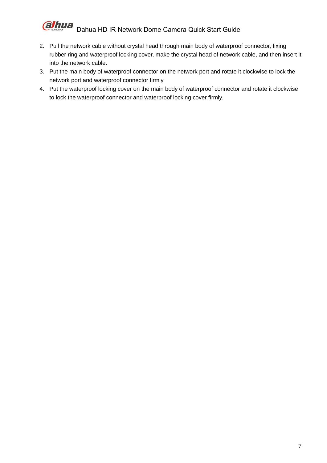#### **alhua** Dahua HD IR Network Dome Camera Quick Start Guide

- 2. Pull the network cable without crystal head through main body of waterproof connector, fixing rubber ring and waterproof locking cover, make the crystal head of network cable, and then insert it into the network cable.
- 3. Put the main body of waterproof connector on the network port and rotate it clockwise to lock the network port and waterproof connector firmly.
- 4. Put the waterproof locking cover on the main body of waterproof connector and rotate it clockwise to lock the waterproof connector and waterproof locking cover firmly.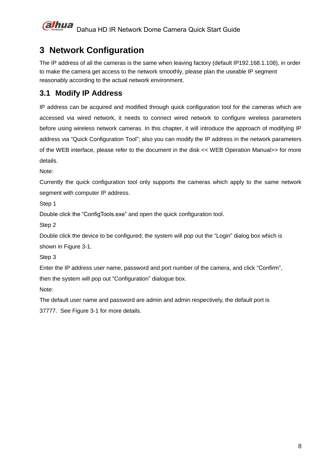

# <span id="page-12-0"></span>**3 Network Configuration**

The IP address of all the cameras is the same when leaving factory (default IP192.168.1.108), in order to make the camera get access to the network smoothly, please plan the useable IP segment reasonably according to the actual network environment.

## <span id="page-12-1"></span>**3.1 Modify IP Address**

IP address can be acquired and modified through quick configuration tool for the cameras which are accessed via wired network, it needs to connect wired network to configure wireless parameters before using wireless network cameras. In this chapter, it will introduce the approach of modifying IP address via "Quick Configuration Tool"; also you can modify the IP address in the network parameters of the WEB interface, please refer to the document in the disk << WEB Operation Manual>> for more details.

Note:

Currently the quick configuration tool only supports the cameras which apply to the same network segment with computer IP address.

Step 1

Double click the "ConfigTools.exe" and open the quick configuration tool.

Step 2

Double click the device to be configured; the system will pop out the "Login" dialog box which is shown in Figure 3-1.

Step 3

Enter the IP address user name, password and port number of the camera, and click "Confirm", then the system will pop out "Configuration" dialogue box.

Note:

The default user name and password are admin and admin respectively, the default port is 37777. See Figure 3-1 for more details.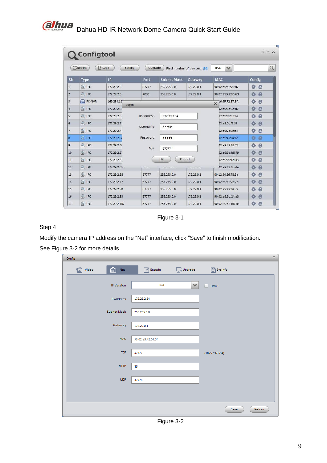

|                |                    | $\sqrt{ }$ Login<br>Setting | Upgrade           |                    | Find number of devices: 34 | IP <sub>V4</sub>  | $\checkmark$      |        |   |
|----------------|--------------------|-----------------------------|-------------------|--------------------|----------------------------|-------------------|-------------------|--------|---|
| SN             | <b>Type</b>        | IP                          | Port              | <b>Subnet Mask</b> | Gateway                    | <b>MAC</b>        |                   | Config |   |
| $\mathbf{1}$   | <b>Q</b> IPC       | 172.29.2.6                  | 37777             | 255.255.0.0        | 172.29.0.1                 |                   | 90:02:a9:42:20:d7 | 烧<br>e |   |
| $\overline{2}$ | $Q$ IPC            | 172.29.2.3                  | 4000              | 255 255 0.0        | 172 29 0.1                 |                   | 90:02:a9:42:0b:6d | 祿<br>e |   |
| $\overline{3}$ | PC-NVR<br>e l      | 169.254.12<br>Login         |                   |                    |                            | $\times$          | 16:9F:F2:37:BA    | 森<br>e |   |
| $\Delta$       | $\circledcirc$ IPC | 172.29.2.8                  |                   |                    |                            |                   | 02:a9:1c:6e:d2    | 烧<br>e |   |
| 5              | Q IPC              | 172 29 2 5                  | <b>IP Address</b> | 172.29.2.34        |                            |                   | 02:a9:09:13:62    | 淼<br>e |   |
| 6              | $Q$ IPC            | 172.29.2.7                  |                   |                    |                            | 02:a9:7c:f1:39    | 烧<br>e            |        |   |
| $\overline{7}$ | <b>Q</b> IPC       | 172.29.2.4                  | Username          | admin              |                            |                   | 02:a9:2b:3f:a4    | 烧<br>e |   |
| 8              | $Q$ IPC            | 172.29.2.34                 | Password          |                    |                            |                   | 02:a9:42:04:6f    | 许<br>e |   |
| 9              | C IPC              | 172.29.2.4                  | Port              |                    |                            |                   | 02:a9:42:63:76    | 烧<br>e |   |
| 10             | $Q$ IPC            | 172.29.2.5                  |                   | 37777              |                            |                   | 02:a9:3d:b8:79    | 烧<br>e |   |
| 11             | <b>Q</b> IPC       | 172.29.2.3                  |                   | OK                 | Cancel                     |                   | 02:a9:09:4b:38    | 烧<br>e |   |
| 12             | $\odot$ IPC        | 172.29.2.63                 |                   |                    |                            |                   | 02:a9:42:0b:4a    | 烧<br>e |   |
| 13             | Q IPC              | 172.29.2.38                 | 37777             | 255.255.0.0        | 172.29.0.1                 |                   | 00:12:34:56:78:9a | 盎<br>e |   |
| 14             | $Q$ IPC            | 172.29.2.47                 | 37777             | 255, 255, 0.0      | 172 29 0 1                 |                   | 90:02:a9:42:28:7b |        | e |
| 15             | <b>Q</b> IPC       | 172.29.2.80                 | 37777             | 255.255.0.0        | 172.29.0.1                 | 90:02:a9:42:04:72 |                   | 烧<br>e |   |
| 16             | Q IPC              | 172 29 2 83                 | 37777             | 255 255 0.0        | 172, 29.0.1                |                   | 90:02:a9:3d:24:a3 |        | e |
| 17             | <b>Q</b> IPC       | 172.29.2.102                | 37777             | 255.255.0.0        | 172.29.0.1                 |                   | 90:02:a9:3d:b8:7e | 烧<br>e |   |

Figure 3-1

#### Step 4

Modify the camera IP address on the "Net" interface, click "Save" to finish modification.

See Figure 3-2 for more details.

| Config        |                   |                              |              | $\times$         |
|---------------|-------------------|------------------------------|--------------|------------------|
| Video<br>ত্ৰে | <b>Net</b>        | $\Box$ Encode $\Box$ Upgrade |              | SysInfo          |
|               | <b>IP Version</b> | IPv4                         | $\checkmark$ | $\Box$ DHCP      |
|               | <b>IP Address</b> | 172.29.2.34                  |              |                  |
|               | Subnet Mask       | 255.255.0.0                  |              |                  |
|               | Gateway           | 172.29.0.1                   |              |                  |
|               | <b>MAC</b>        | 90:02:a9:42:04:6f            |              |                  |
|               | <b>TCP</b>        | 37777                        |              | $(1025 - 65534)$ |
|               | <b>HTTP</b><br>80 |                              |              |                  |
|               | <b>UDP</b>        | 37778                        |              |                  |
|               |                   |                              |              |                  |
|               |                   |                              |              | Return<br>Save   |

Figure 3-2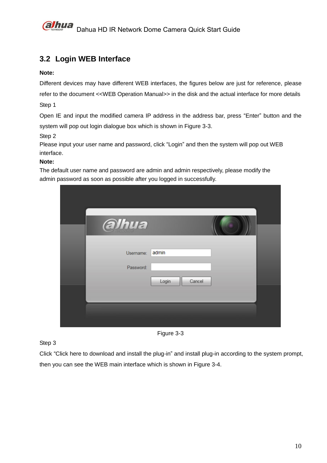

## <span id="page-14-0"></span>**3.2 Login WEB Interface**

#### **Note:**

Different devices may have different WEB interfaces, the figures below are just for reference, please refer to the document <<WEB Operation Manual>> in the disk and the actual interface for more details Step 1

Open IE and input the modified camera IP address in the address bar, press "Enter" button and the system will pop out login dialogue box which is shown in Figure 3-3.

Step 2

Please input your user name and password, click "Login" and then the system will pop out WEB interface.

#### **Note:**

The default user name and password are admin and admin respectively, please modify the admin password as soon as possible after you logged in successfully.

| alhua     |                 |  |
|-----------|-----------------|--|
| Username: | admin           |  |
| Password: |                 |  |
|           | Cancel<br>Login |  |
|           |                 |  |
|           |                 |  |
|           |                 |  |

Figure 3-3

Step 3

Click "Click here to download and install the plug-in" and install plug-in according to the system prompt, then you can see the WEB main interface which is shown in Figure 3-4.